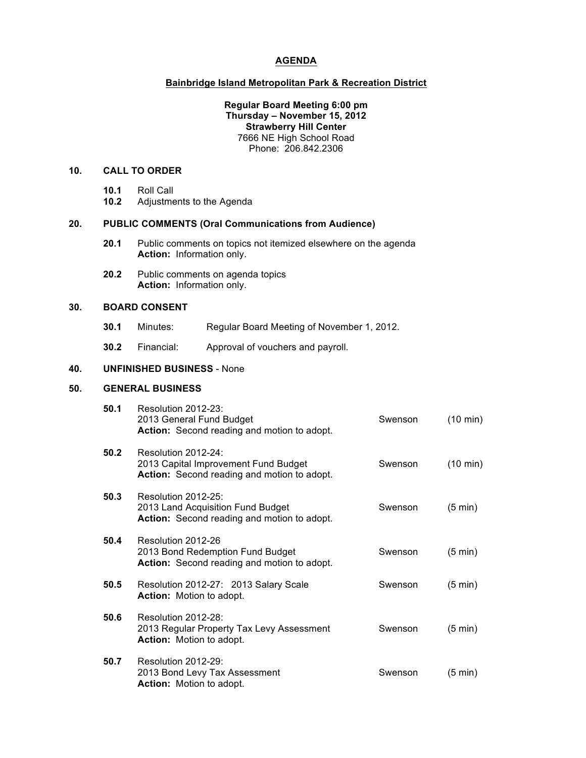### **AGENDA**

## **Bainbridge Island Metropolitan Park & Recreation District**

#### **Regular Board Meeting 6:00 pm Thursday – November 15, 2012 Strawberry Hill Center** 7666 NE High School Road Phone: 206.842.2306

# **10. CALL TO ORDER**

- **10.1** Roll Call
- **10.2** Adjustments to the Agenda

### **20. PUBLIC COMMENTS (Oral Communications from Audience)**

- **20.1** Public comments on topics not itemized elsewhere on the agenda **Action:** Information only.
- **20.2** Public comments on agenda topics **Action:** Information only.

# **30. BOARD CONSENT**

- **30.1** Minutes: Regular Board Meeting of November 1, 2012.
- **30.2** Financial: Approval of vouchers and payroll.

## **40. UNFINISHED BUSINESS** - None

### **50. GENERAL BUSINESS**

| 50.1 | Resolution 2012-23:<br>2013 General Fund Budget<br>Action: Second reading and motion to adopt.             | Swenson | $(10 \text{ min})$ |
|------|------------------------------------------------------------------------------------------------------------|---------|--------------------|
| 50.2 | Resolution 2012-24:<br>2013 Capital Improvement Fund Budget<br>Action: Second reading and motion to adopt. | Swenson | $(10 \text{ min})$ |
| 50.3 | Resolution 2012-25:<br>2013 Land Acquisition Fund Budget<br>Action: Second reading and motion to adopt.    | Swenson | $(5 \text{ min})$  |
| 50.4 | Resolution 2012-26<br>2013 Bond Redemption Fund Budget<br>Action: Second reading and motion to adopt.      | Swenson | $(5 \text{ min})$  |
| 50.5 | Resolution 2012-27: 2013 Salary Scale<br><b>Action:</b> Motion to adopt.                                   | Swenson | $(5 \text{ min})$  |
| 50.6 | Resolution 2012-28:<br>2013 Regular Property Tax Levy Assessment<br><b>Action:</b> Motion to adopt.        | Swenson | $(5 \text{ min})$  |
| 50.7 | Resolution 2012-29:<br>2013 Bond Levy Tax Assessment<br><b>Action:</b> Motion to adopt.                    | Swenson | $(5 \text{ min})$  |